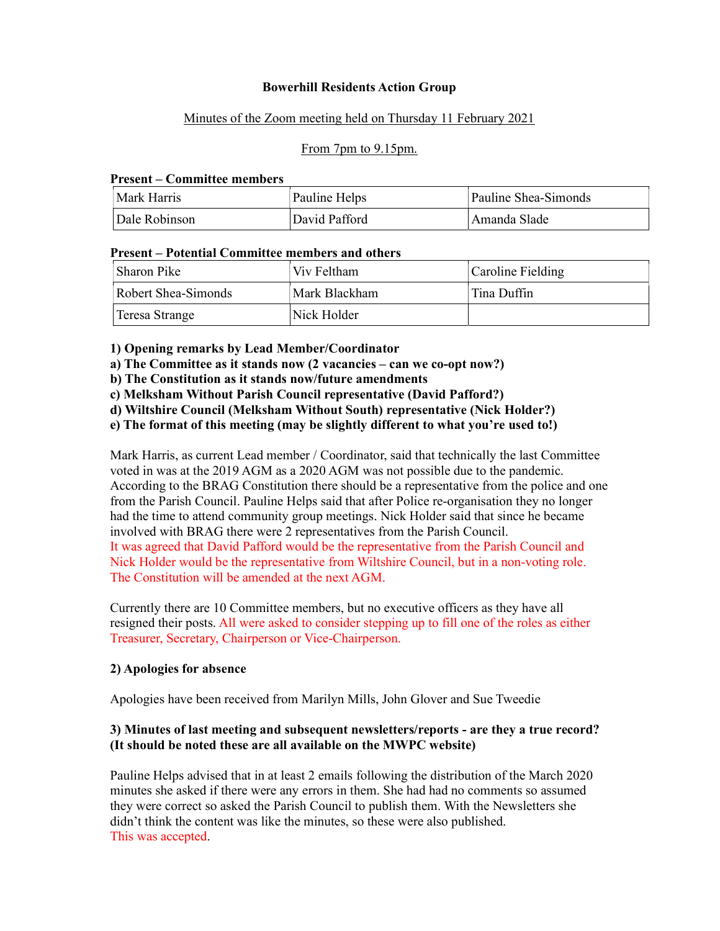#### Bowerhill Residents Action Group

#### Minutes of the Zoom meeting held on Thursday 11 February 2021

#### From 7pm to 9.15pm.

#### Present – Committee members

| Mark Harris   | Pauline Helps | Pauline Shea-Simonds |
|---------------|---------------|----------------------|
| Dale Robinson | David Pafford | Amanda Slade         |

#### Present – Potential Committee members and others

| Sharon Pike         | Viv Feltham   | Caroline Fielding |
|---------------------|---------------|-------------------|
| Robert Shea-Simonds | Mark Blackham | Tina Duffin       |
| Teresa Strange      | Nick Holder   |                   |

1) Opening remarks by Lead Member/Coordinator

a) The Committee as it stands now (2 vacancies – can we co-opt now?)

b) The Constitution as it stands now/future amendments

c) Melksham Without Parish Council representative (David Pafford?)

d) Wiltshire Council (Melksham Without South) representative (Nick Holder?)

e) The format of this meeting (may be slightly different to what you're used to!)

Mark Harris, as current Lead member / Coordinator, said that technically the last Committee voted in was at the 2019 AGM as a 2020 AGM was not possible due to the pandemic. According to the BRAG Constitution there should be a representative from the police and one from the Parish Council. Pauline Helps said that after Police re-organisation they no longer had the time to attend community group meetings. Nick Holder said that since he became involved with BRAG there were 2 representatives from the Parish Council. It was agreed that David Pafford would be the representative from the Parish Council and Nick Holder would be the representative from Wiltshire Council, but in a non-voting role. The Constitution will be amended at the next AGM.

Currently there are 10 Committee members, but no executive officers as they have all resigned their posts. All were asked to consider stepping up to fill one of the roles as either Treasurer, Secretary, Chairperson or Vice-Chairperson.

#### 2) Apologies for absence

Apologies have been received from Marilyn Mills, John Glover and Sue Tweedie

### 3) Minutes of last meeting and subsequent newsletters/reports - are they a true record? (It should be noted these are all available on the MWPC website)

Pauline Helps advised that in at least 2 emails following the distribution of the March 2020 minutes she asked if there were any errors in them. She had had no comments so assumed they were correct so asked the Parish Council to publish them. With the Newsletters she didn't think the content was like the minutes, so these were also published. This was accepted.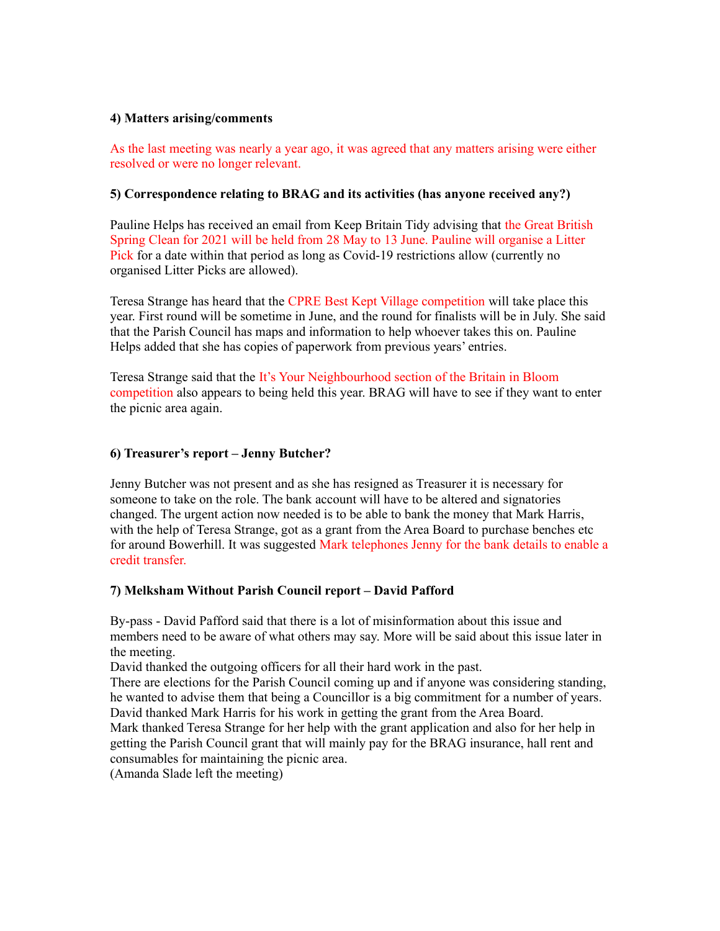#### 4) Matters arising/comments

As the last meeting was nearly a year ago, it was agreed that any matters arising were either resolved or were no longer relevant.

### 5) Correspondence relating to BRAG and its activities (has anyone received any?)

Pauline Helps has received an email from Keep Britain Tidy advising that the Great British Spring Clean for 2021 will be held from 28 May to 13 June. Pauline will organise a Litter Pick for a date within that period as long as Covid-19 restrictions allow (currently no organised Litter Picks are allowed).

Teresa Strange has heard that the CPRE Best Kept Village competition will take place this year. First round will be sometime in June, and the round for finalists will be in July. She said that the Parish Council has maps and information to help whoever takes this on. Pauline Helps added that she has copies of paperwork from previous years' entries.

Teresa Strange said that the It's Your Neighbourhood section of the Britain in Bloom competition also appears to being held this year. BRAG will have to see if they want to enter the picnic area again.

### 6) Treasurer's report – Jenny Butcher?

Jenny Butcher was not present and as she has resigned as Treasurer it is necessary for someone to take on the role. The bank account will have to be altered and signatories changed. The urgent action now needed is to be able to bank the money that Mark Harris, with the help of Teresa Strange, got as a grant from the Area Board to purchase benches etc for around Bowerhill. It was suggested Mark telephones Jenny for the bank details to enable a credit transfer.

#### 7) Melksham Without Parish Council report – David Pafford

By-pass - David Pafford said that there is a lot of misinformation about this issue and members need to be aware of what others may say. More will be said about this issue later in the meeting.

David thanked the outgoing officers for all their hard work in the past.

There are elections for the Parish Council coming up and if anyone was considering standing, he wanted to advise them that being a Councillor is a big commitment for a number of years. David thanked Mark Harris for his work in getting the grant from the Area Board.

Mark thanked Teresa Strange for her help with the grant application and also for her help in getting the Parish Council grant that will mainly pay for the BRAG insurance, hall rent and consumables for maintaining the picnic area.

(Amanda Slade left the meeting)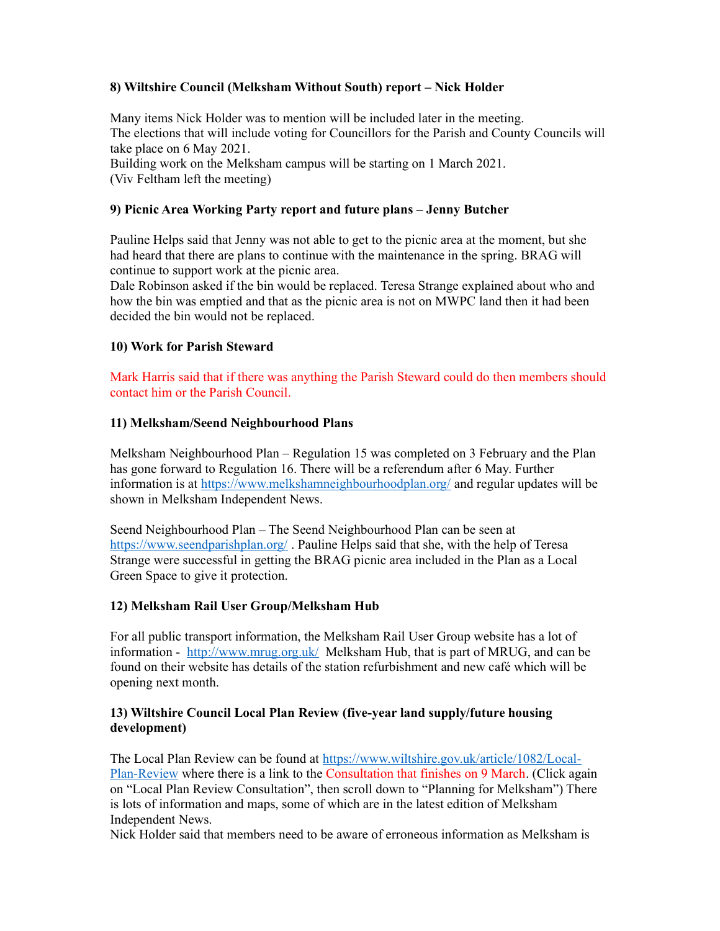## 8) Wiltshire Council (Melksham Without South) report – Nick Holder

Many items Nick Holder was to mention will be included later in the meeting. The elections that will include voting for Councillors for the Parish and County Councils will take place on 6 May 2021. Building work on the Melksham campus will be starting on 1 March 2021.

(Viv Feltham left the meeting)

### 9) Picnic Area Working Party report and future plans – Jenny Butcher

Pauline Helps said that Jenny was not able to get to the picnic area at the moment, but she had heard that there are plans to continue with the maintenance in the spring. BRAG will continue to support work at the picnic area.

Dale Robinson asked if the bin would be replaced. Teresa Strange explained about who and how the bin was emptied and that as the picnic area is not on MWPC land then it had been decided the bin would not be replaced.

### 10) Work for Parish Steward

Mark Harris said that if there was anything the Parish Steward could do then members should contact him or the Parish Council.

### 11) Melksham/Seend Neighbourhood Plans

Melksham Neighbourhood Plan – Regulation 15 was completed on 3 February and the Plan has gone forward to Regulation 16. There will be a referendum after 6 May. Further information is at https://www.melkshamneighbourhoodplan.org/ and regular updates will be shown in Melksham Independent News.

Seend Neighbourhood Plan – The Seend Neighbourhood Plan can be seen at https://www.seendparishplan.org/. Pauline Helps said that she, with the help of Teresa Strange were successful in getting the BRAG picnic area included in the Plan as a Local Green Space to give it protection.

## 12) Melksham Rail User Group/Melksham Hub

For all public transport information, the Melksham Rail User Group website has a lot of information - http://www.mrug.org.uk/ Melksham Hub, that is part of MRUG, and can be found on their website has details of the station refurbishment and new café which will be opening next month.

## 13) Wiltshire Council Local Plan Review (five-year land supply/future housing development)

The Local Plan Review can be found at https://www.wiltshire.gov.uk/article/1082/Local-Plan-Review where there is a link to the Consultation that finishes on 9 March. (Click again on "Local Plan Review Consultation", then scroll down to "Planning for Melksham") There is lots of information and maps, some of which are in the latest edition of Melksham Independent News.

Nick Holder said that members need to be aware of erroneous information as Melksham is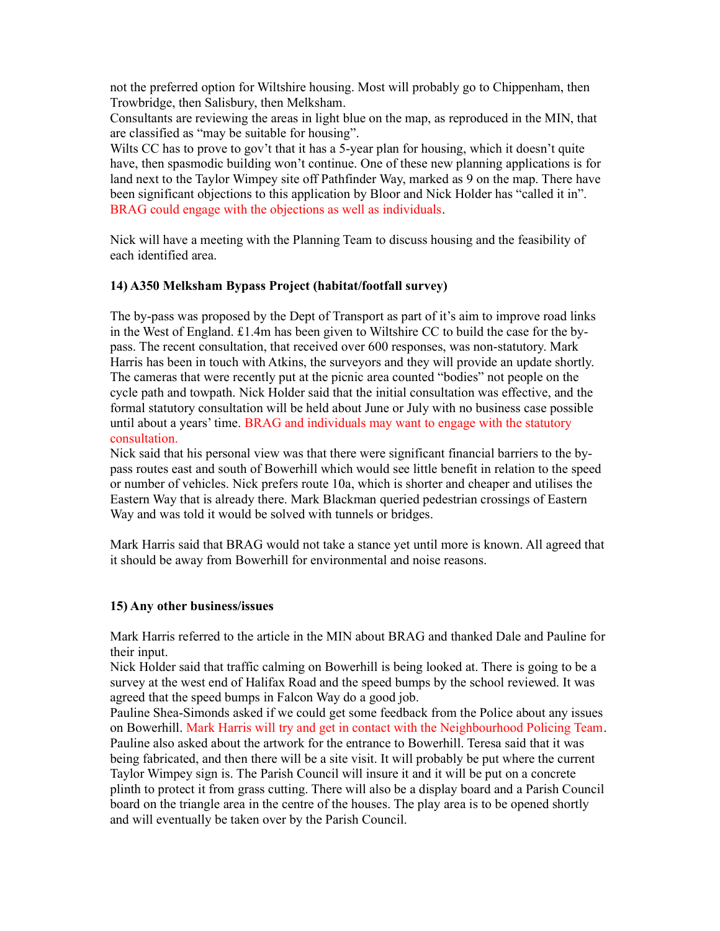not the preferred option for Wiltshire housing. Most will probably go to Chippenham, then Trowbridge, then Salisbury, then Melksham.

Consultants are reviewing the areas in light blue on the map, as reproduced in the MIN, that are classified as "may be suitable for housing".

Wilts CC has to prove to gov't that it has a 5-year plan for housing, which it doesn't quite have, then spasmodic building won't continue. One of these new planning applications is for land next to the Taylor Wimpey site off Pathfinder Way, marked as 9 on the map. There have been significant objections to this application by Bloor and Nick Holder has "called it in". BRAG could engage with the objections as well as individuals.

Nick will have a meeting with the Planning Team to discuss housing and the feasibility of each identified area.

### 14) A350 Melksham Bypass Project (habitat/footfall survey)

The by-pass was proposed by the Dept of Transport as part of it's aim to improve road links in the West of England. £1.4m has been given to Wiltshire CC to build the case for the bypass. The recent consultation, that received over 600 responses, was non-statutory. Mark Harris has been in touch with Atkins, the surveyors and they will provide an update shortly. The cameras that were recently put at the picnic area counted "bodies" not people on the cycle path and towpath. Nick Holder said that the initial consultation was effective, and the formal statutory consultation will be held about June or July with no business case possible until about a years' time. BRAG and individuals may want to engage with the statutory consultation.

Nick said that his personal view was that there were significant financial barriers to the bypass routes east and south of Bowerhill which would see little benefit in relation to the speed or number of vehicles. Nick prefers route 10a, which is shorter and cheaper and utilises the Eastern Way that is already there. Mark Blackman queried pedestrian crossings of Eastern Way and was told it would be solved with tunnels or bridges.

Mark Harris said that BRAG would not take a stance yet until more is known. All agreed that it should be away from Bowerhill for environmental and noise reasons.

#### 15) Any other business/issues

Mark Harris referred to the article in the MIN about BRAG and thanked Dale and Pauline for their input.

Nick Holder said that traffic calming on Bowerhill is being looked at. There is going to be a survey at the west end of Halifax Road and the speed bumps by the school reviewed. It was agreed that the speed bumps in Falcon Way do a good job.

Pauline Shea-Simonds asked if we could get some feedback from the Police about any issues on Bowerhill. Mark Harris will try and get in contact with the Neighbourhood Policing Team. Pauline also asked about the artwork for the entrance to Bowerhill. Teresa said that it was being fabricated, and then there will be a site visit. It will probably be put where the current Taylor Wimpey sign is. The Parish Council will insure it and it will be put on a concrete plinth to protect it from grass cutting. There will also be a display board and a Parish Council board on the triangle area in the centre of the houses. The play area is to be opened shortly and will eventually be taken over by the Parish Council.